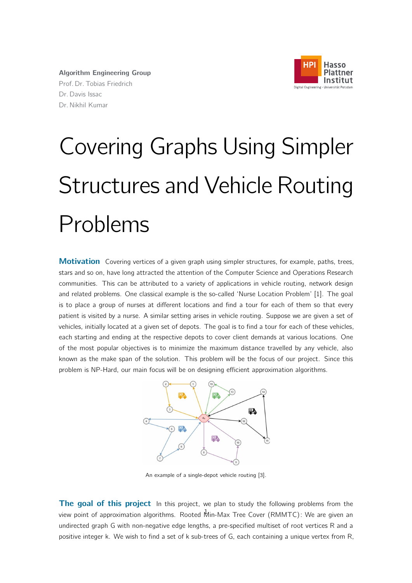

Algorithm Engineering Group Prof. Dr. Tobias Friedrich Dr. Davis Issac Dr. Nikhil Kumar

## Covering Graphs Using Simpler Structures and Vehicle Routing Problems

**Motivation** Covering vertices of a given graph using simpler structures, for example, paths, trees, stars and so on, have long attracted the attention of the Computer Science and Operations Research communities. This can be attributed to a variety of applications in vehicle routing, network design and related problems. One classical example is the so-called 'Nurse Location Problem' [1]. The goal is to place a group of nurses at different locations and find a tour for each of them so that every patient is visited by a nurse. A similar setting arises in vehicle routing. Suppose we are given a set of vehicles, initially located at a given set of depots. The goal is to find a tour for each of these vehicles, each starting and ending at the respective depots to cover client demands at various locations. One of the most popular objectives is to minimize the maximum distance travelled by any vehicle, also known as the make span of the solution. This problem will be the focus of our project. Since this problem is NP-Hard, our main focus will be on designing efficient approximation algorithms.



An example of a single-depot vehicle routing [3].

The goal of this project In this project, we plan to study the following problems from the view point of approximation algorithms. Rooted Min-Max Tree Cover (RMMTC): We are given an undirected graph G with non-negative edge lengths, a pre-specified multiset of root vertices R and a positive integer k. We wish to find a set of k sub-trees of G, each containing a unique vertex from R,